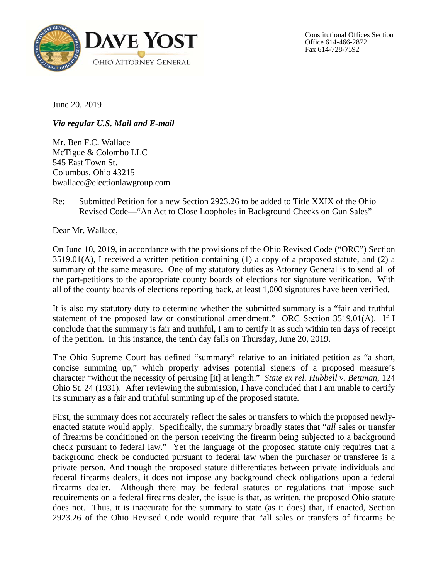

Constitutional Offices Section Office 614-466-2872 Fax 614-728-7592

June 20, 2019

*Via regular U.S. Mail and E-mail* 

Mr. Ben F.C. Wallace McTigue & Colombo LLC 545 East Town St. Columbus, Ohio 43215 [bwallace@electionlawgroup.com](mailto:bwallace@electionlawgroup.com) 

## Re: Submitted Petition for a new Section 2923.26 to be added to Title XXIX of the Ohio Revised Code—"An Act to Close Loopholes in Background Checks on Gun Sales"

Dear Mr. Wallace,

On June 10, 2019, in accordance with the provisions of the Ohio Revised Code ("ORC") Section 3519.01(A), I received a written petition containing (1) a copy of a proposed statute, and (2) a summary of the same measure. One of my statutory duties as Attorney General is to send all of the part-petitions to the appropriate county boards of elections for signature verification. With all of the county boards of elections reporting back, at least 1,000 signatures have been verified.

It is also my statutory duty to determine whether the submitted summary is a "fair and truthful statement of the proposed law or constitutional amendment." ORC Section 3519.01(A). If I conclude that the summary is fair and truthful, I am to certify it as such within ten days of receipt of the petition. In this instance, the tenth day falls on Thursday, June 20, 2019.

The Ohio Supreme Court has defined "summary" relative to an initiated petition as "a short, concise summing up," which properly advises potential signers of a proposed measure's character "without the necessity of perusing [it] at length." *State ex rel. Hubbell v. Bettman*, 124 Ohio St. 24 (1931). After reviewing the submission, I have concluded that I am unable to certify its summary as a fair and truthful summing up of the proposed statute.

First, the summary does not accurately reflect the sales or transfers to which the proposed newlyenacted statute would apply. Specifically, the summary broadly states that "*all* sales or transfer of firearms be conditioned on the person receiving the firearm being subjected to a background check pursuant to federal law." Yet the language of the proposed statute only requires that a background check be conducted pursuant to federal law when the purchaser or transferee is a private person. And though the proposed statute differentiates between private individuals and federal firearms dealers, it does not impose any background check obligations upon a federal firearms dealer. Although there may be federal statutes or regulations that impose such requirements on a federal firearms dealer, the issue is that, as written, the proposed Ohio statute does not. Thus, it is inaccurate for the summary to state (as it does) that, if enacted, Section 2923.26 of the Ohio Revised Code would require that "all sales or transfers of firearms be